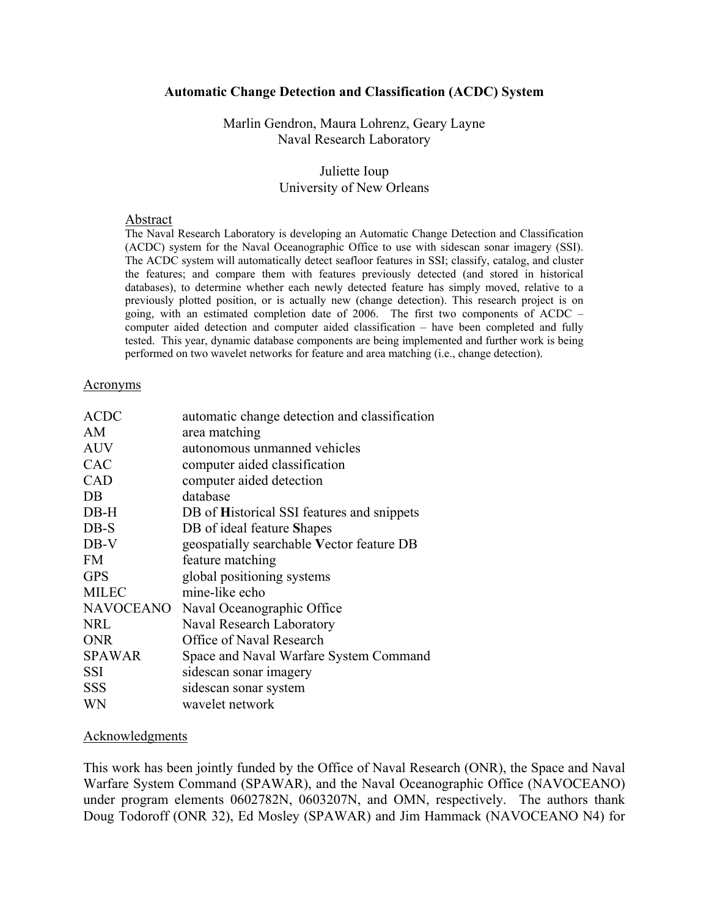#### **Automatic Change Detection and Classification (ACDC) System**

Marlin Gendron, Maura Lohrenz, Geary Layne Naval Research Laboratory

#### Juliette Ioup University of New Orleans

#### Abstract

The Naval Research Laboratory is developing an Automatic Change Detection and Classification (ACDC) system for the Naval Oceanographic Office to use with sidescan sonar imagery (SSI). The ACDC system will automatically detect seafloor features in SSI; classify, catalog, and cluster the features; and compare them with features previously detected (and stored in historical databases), to determine whether each newly detected feature has simply moved, relative to a previously plotted position, or is actually new (change detection). This research project is on going, with an estimated completion date of 2006. The first two components of ACDC – computer aided detection and computer aided classification – have been completed and fully tested. This year, dynamic database components are being implemented and further work is being performed on two wavelet networks for feature and area matching (i.e., change detection).

#### Acronyms

| <b>ACDC</b>      | automatic change detection and classification |
|------------------|-----------------------------------------------|
| AM               | area matching                                 |
| <b>AUV</b>       | autonomous unmanned vehicles                  |
| <b>CAC</b>       | computer aided classification                 |
| <b>CAD</b>       | computer aided detection                      |
| DB               | database                                      |
| $DB-H$           | DB of Historical SSI features and snippets    |
| $DB-S$           | DB of ideal feature Shapes                    |
| DB-V             | geospatially searchable Vector feature DB     |
| <b>FM</b>        | feature matching                              |
| <b>GPS</b>       | global positioning systems                    |
| <b>MILEC</b>     | mine-like echo                                |
| <b>NAVOCEANO</b> | Naval Oceanographic Office                    |
| <b>NRL</b>       | Naval Research Laboratory                     |
| <b>ONR</b>       | Office of Naval Research                      |
| <b>SPAWAR</b>    | Space and Naval Warfare System Command        |
| SSI              | sidescan sonar imagery                        |
| SSS              | sidescan sonar system                         |
| WN               | wavelet network                               |

#### **Acknowledgments**

This work has been jointly funded by the Office of Naval Research (ONR), the Space and Naval Warfare System Command (SPAWAR), and the Naval Oceanographic Office (NAVOCEANO) under program elements 0602782N, 0603207N, and OMN, respectively. The authors thank Doug Todoroff (ONR 32), Ed Mosley (SPAWAR) and Jim Hammack (NAVOCEANO N4) for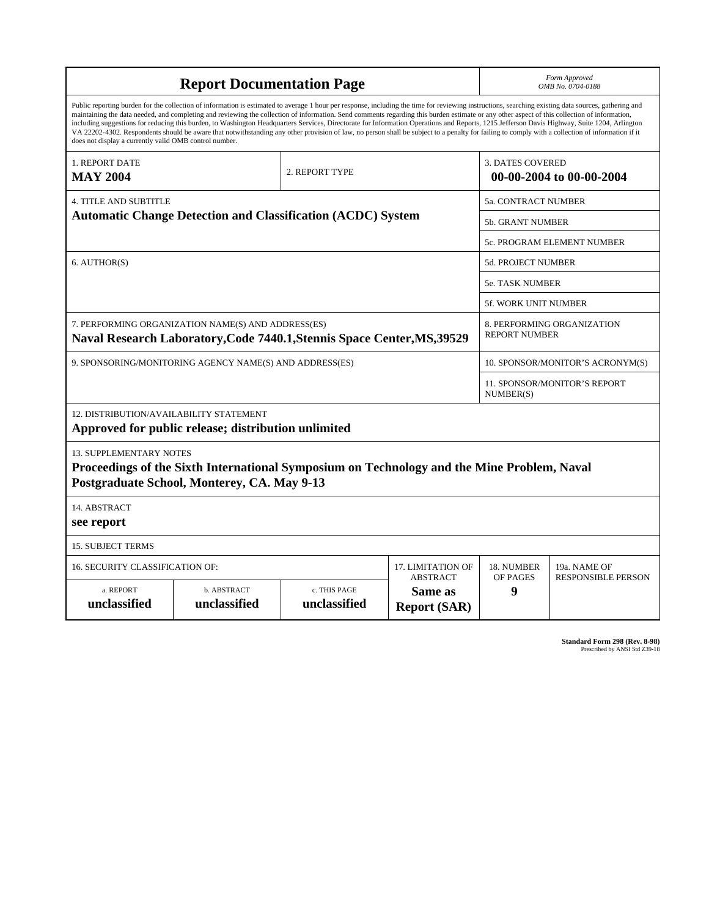| <b>Report Documentation Page</b>                                                                                                                                                                                                                                                                                                                                                                                                                                                                                                                                                                                                                                                                                                                                                                                                                                   |                             |                              |                                                   |                                  | Form Approved<br>OMB No. 0704-0188        |  |  |
|--------------------------------------------------------------------------------------------------------------------------------------------------------------------------------------------------------------------------------------------------------------------------------------------------------------------------------------------------------------------------------------------------------------------------------------------------------------------------------------------------------------------------------------------------------------------------------------------------------------------------------------------------------------------------------------------------------------------------------------------------------------------------------------------------------------------------------------------------------------------|-----------------------------|------------------------------|---------------------------------------------------|----------------------------------|-------------------------------------------|--|--|
| Public reporting burden for the collection of information is estimated to average 1 hour per response, including the time for reviewing instructions, searching existing data sources, gathering and<br>maintaining the data needed, and completing and reviewing the collection of information. Send comments regarding this burden estimate or any other aspect of this collection of information,<br>including suggestions for reducing this burden, to Washington Headquarters Services, Directorate for Information Operations and Reports, 1215 Jefferson Davis Highway, Suite 1204, Arlington<br>VA 22202-4302. Respondents should be aware that notwithstanding any other provision of law, no person shall be subject to a penalty for failing to comply with a collection of information if it<br>does not display a currently valid OMB control number. |                             |                              |                                                   |                                  |                                           |  |  |
| 1. REPORT DATE<br><b>MAY 2004</b>                                                                                                                                                                                                                                                                                                                                                                                                                                                                                                                                                                                                                                                                                                                                                                                                                                  |                             | 2. REPORT TYPE               |                                                   | <b>3. DATES COVERED</b>          | 00-00-2004 to 00-00-2004                  |  |  |
| <b>4. TITLE AND SUBTITLE</b>                                                                                                                                                                                                                                                                                                                                                                                                                                                                                                                                                                                                                                                                                                                                                                                                                                       |                             |                              |                                                   |                                  | <b>5a. CONTRACT NUMBER</b>                |  |  |
| <b>Automatic Change Detection and Classification (ACDC) System</b>                                                                                                                                                                                                                                                                                                                                                                                                                                                                                                                                                                                                                                                                                                                                                                                                 |                             |                              |                                                   | <b>5b. GRANT NUMBER</b>          |                                           |  |  |
|                                                                                                                                                                                                                                                                                                                                                                                                                                                                                                                                                                                                                                                                                                                                                                                                                                                                    |                             |                              |                                                   |                                  | 5c. PROGRAM ELEMENT NUMBER                |  |  |
| 6. AUTHOR(S)                                                                                                                                                                                                                                                                                                                                                                                                                                                                                                                                                                                                                                                                                                                                                                                                                                                       |                             |                              |                                                   | 5d. PROJECT NUMBER               |                                           |  |  |
|                                                                                                                                                                                                                                                                                                                                                                                                                                                                                                                                                                                                                                                                                                                                                                                                                                                                    |                             |                              |                                                   |                                  | <b>5e. TASK NUMBER</b>                    |  |  |
|                                                                                                                                                                                                                                                                                                                                                                                                                                                                                                                                                                                                                                                                                                                                                                                                                                                                    |                             |                              |                                                   |                                  | <b>5f. WORK UNIT NUMBER</b>               |  |  |
| 7. PERFORMING ORGANIZATION NAME(S) AND ADDRESS(ES)<br>8. PERFORMING ORGANIZATION<br><b>REPORT NUMBER</b><br>Naval Research Laboratory, Code 7440.1, Stennis Space Center, MS, 39529                                                                                                                                                                                                                                                                                                                                                                                                                                                                                                                                                                                                                                                                                |                             |                              |                                                   |                                  |                                           |  |  |
| 9. SPONSORING/MONITORING AGENCY NAME(S) AND ADDRESS(ES)                                                                                                                                                                                                                                                                                                                                                                                                                                                                                                                                                                                                                                                                                                                                                                                                            |                             |                              |                                                   | 10. SPONSOR/MONITOR'S ACRONYM(S) |                                           |  |  |
|                                                                                                                                                                                                                                                                                                                                                                                                                                                                                                                                                                                                                                                                                                                                                                                                                                                                    |                             |                              |                                                   |                                  | 11. SPONSOR/MONITOR'S REPORT<br>NUMBER(S) |  |  |
| 12. DISTRIBUTION/AVAILABILITY STATEMENT<br>Approved for public release; distribution unlimited                                                                                                                                                                                                                                                                                                                                                                                                                                                                                                                                                                                                                                                                                                                                                                     |                             |                              |                                                   |                                  |                                           |  |  |
| <b>13. SUPPLEMENTARY NOTES</b><br>Proceedings of the Sixth International Symposium on Technology and the Mine Problem, Naval<br>Postgraduate School, Monterey, CA. May 9-13                                                                                                                                                                                                                                                                                                                                                                                                                                                                                                                                                                                                                                                                                        |                             |                              |                                                   |                                  |                                           |  |  |
| 14. ABSTRACT<br>see report                                                                                                                                                                                                                                                                                                                                                                                                                                                                                                                                                                                                                                                                                                                                                                                                                                         |                             |                              |                                                   |                                  |                                           |  |  |
| <b>15. SUBJECT TERMS</b>                                                                                                                                                                                                                                                                                                                                                                                                                                                                                                                                                                                                                                                                                                                                                                                                                                           |                             |                              |                                                   |                                  |                                           |  |  |
| 16. SECURITY CLASSIFICATION OF:<br>17. LIMITATION OF                                                                                                                                                                                                                                                                                                                                                                                                                                                                                                                                                                                                                                                                                                                                                                                                               |                             |                              |                                                   |                                  | 19a. NAME OF                              |  |  |
| a. REPORT<br>unclassified                                                                                                                                                                                                                                                                                                                                                                                                                                                                                                                                                                                                                                                                                                                                                                                                                                          | b. ABSTRACT<br>unclassified | c. THIS PAGE<br>unclassified | <b>ABSTRACT</b><br>Same as<br><b>Report (SAR)</b> | OF PAGES<br>9                    | <b>RESPONSIBLE PERSON</b>                 |  |  |

**Standard Form 298 (Rev. 8-98)**<br>Prescribed by ANSI Std Z39-18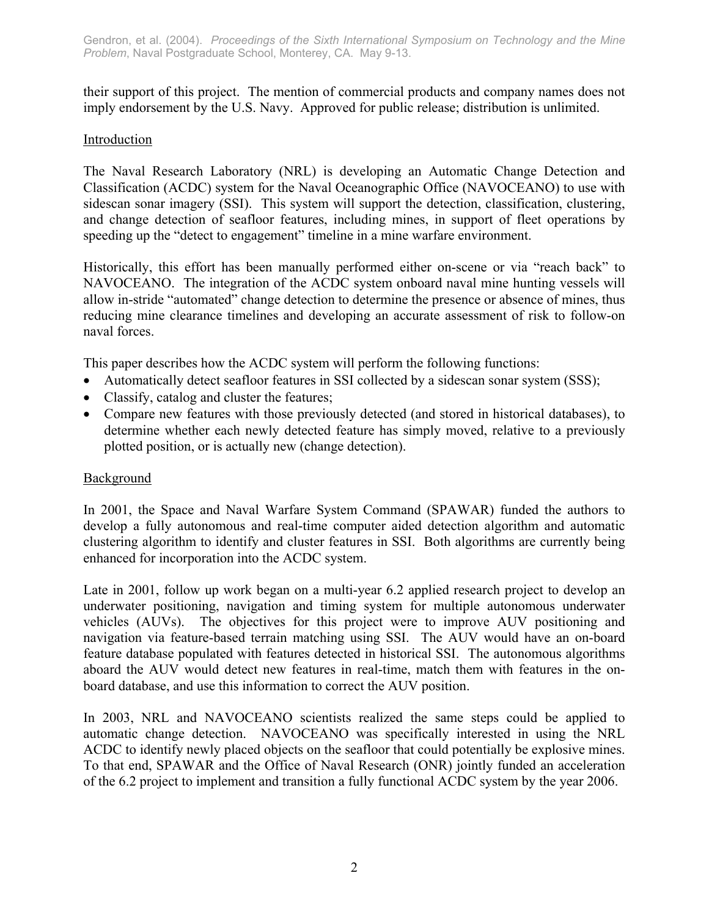their support of this project. The mention of commercial products and company names does not imply endorsement by the U.S. Navy. Approved for public release; distribution is unlimited.

# **Introduction**

The Naval Research Laboratory (NRL) is developing an Automatic Change Detection and Classification (ACDC) system for the Naval Oceanographic Office (NAVOCEANO) to use with sidescan sonar imagery (SSI). This system will support the detection, classification, clustering, and change detection of seafloor features, including mines, in support of fleet operations by speeding up the "detect to engagement" timeline in a mine warfare environment.

Historically, this effort has been manually performed either on-scene or via "reach back" to NAVOCEANO. The integration of the ACDC system onboard naval mine hunting vessels will allow in-stride "automated" change detection to determine the presence or absence of mines, thus reducing mine clearance timelines and developing an accurate assessment of risk to follow-on naval forces.

This paper describes how the ACDC system will perform the following functions:

- Automatically detect seafloor features in SSI collected by a sidescan sonar system (SSS);
- Classify, catalog and cluster the features;
- Compare new features with those previously detected (and stored in historical databases), to determine whether each newly detected feature has simply moved, relative to a previously plotted position, or is actually new (change detection).

## Background

In 2001, the Space and Naval Warfare System Command (SPAWAR) funded the authors to develop a fully autonomous and real-time computer aided detection algorithm and automatic clustering algorithm to identify and cluster features in SSI. Both algorithms are currently being enhanced for incorporation into the ACDC system.

Late in 2001, follow up work began on a multi-year 6.2 applied research project to develop an underwater positioning, navigation and timing system for multiple autonomous underwater vehicles (AUVs). The objectives for this project were to improve AUV positioning and navigation via feature-based terrain matching using SSI. The AUV would have an on-board feature database populated with features detected in historical SSI. The autonomous algorithms aboard the AUV would detect new features in real-time, match them with features in the onboard database, and use this information to correct the AUV position.

In 2003, NRL and NAVOCEANO scientists realized the same steps could be applied to automatic change detection. NAVOCEANO was specifically interested in using the NRL ACDC to identify newly placed objects on the seafloor that could potentially be explosive mines. To that end, SPAWAR and the Office of Naval Research (ONR) jointly funded an acceleration of the 6.2 project to implement and transition a fully functional ACDC system by the year 2006.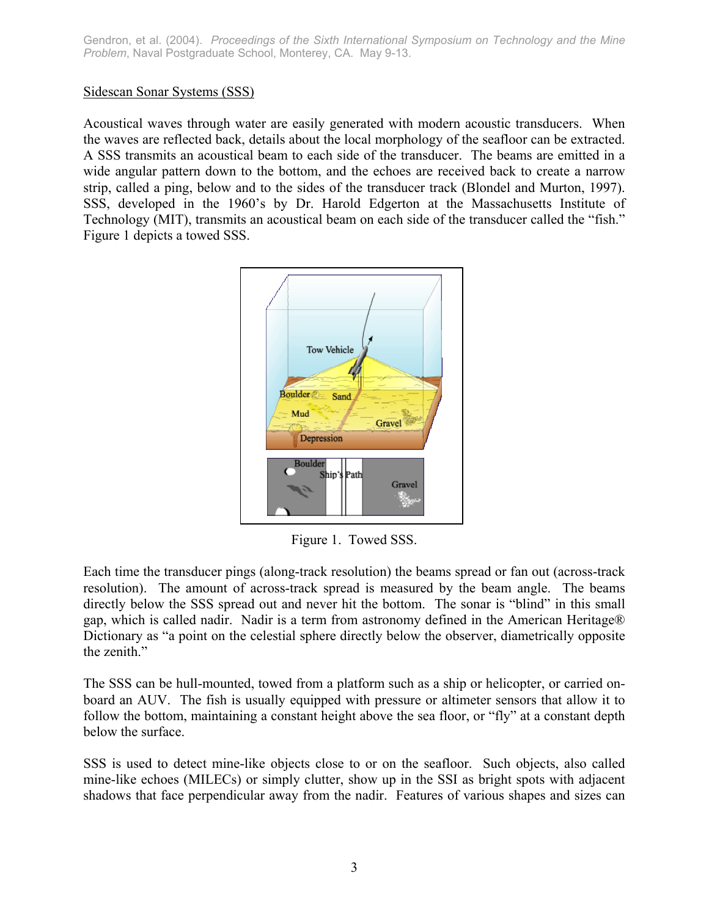## Sidescan Sonar Systems (SSS)

Acoustical waves through water are easily generated with modern acoustic transducers. When the waves are reflected back, details about the local morphology of the seafloor can be extracted. A SSS transmits an acoustical beam to each side of the transducer. The beams are emitted in a wide angular pattern down to the bottom, and the echoes are received back to create a narrow strip, called a ping, below and to the sides of the transducer track (Blondel and Murton, 1997). SSS, developed in the 1960's by Dr. Harold Edgerton at the Massachusetts Institute of Technology (MIT), transmits an acoustical beam on each side of the transducer called the "fish." Figure 1 depicts a towed SSS.



Figure 1. Towed SSS.

Each time the transducer pings (along-track resolution) the beams spread or fan out (across-track resolution). The amount of across-track spread is measured by the beam angle. The beams directly below the SSS spread out and never hit the bottom. The sonar is "blind" in this small gap, which is called nadir. Nadir is a term from astronomy defined in the American Heritage® Dictionary as "a point on the celestial sphere directly below the observer, diametrically opposite the zenith"

The SSS can be hull-mounted, towed from a platform such as a ship or helicopter, or carried onboard an AUV. The fish is usually equipped with pressure or altimeter sensors that allow it to follow the bottom, maintaining a constant height above the sea floor, or "fly" at a constant depth below the surface.

SSS is used to detect mine-like objects close to or on the seafloor. Such objects, also called mine-like echoes (MILECs) or simply clutter, show up in the SSI as bright spots with adjacent shadows that face perpendicular away from the nadir. Features of various shapes and sizes can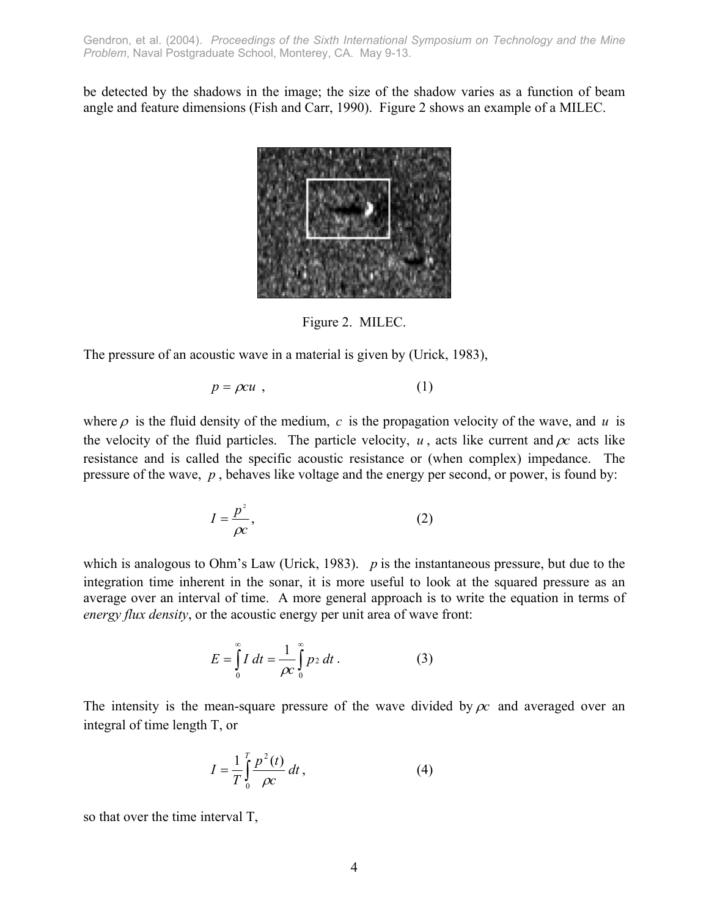be detected by the shadows in the image; the size of the shadow varies as a function of beam angle and feature dimensions (Fish and Carr, 1990). Figure 2 shows an example of a MILEC.



Figure 2. MILEC.

The pressure of an acoustic wave in a material is given by (Urick, 1983),

$$
p = \rho c u \tag{1}
$$

where  $\rho$  is the fluid density of the medium,  $c$  is the propagation velocity of the wave, and  $u$  is the velocity of the fluid particles. The particle velocity,  $u$ , acts like current and  $\rho c$  acts like resistance and is called the specific acoustic resistance or (when complex) impedance. The pressure of the wave, *p* , behaves like voltage and the energy per second, or power, is found by:

$$
I = \frac{p^2}{\rho c},\tag{2}
$$

which is analogous to Ohm's Law (Urick, 1983). *p* is the instantaneous pressure, but due to the integration time inherent in the sonar, it is more useful to look at the squared pressure as an average over an interval of time. A more general approach is to write the equation in terms of *energy flux density*, or the acoustic energy per unit area of wave front:

$$
E = \int_{0}^{\infty} I \, dt = \frac{1}{\rho c} \int_{0}^{\infty} p_2 \, dt \,. \tag{3}
$$

The intensity is the mean-square pressure of the wave divided by  $\rho c$  and averaged over an integral of time length T, or

$$
I = \frac{1}{T} \int_{0}^{T} \frac{p^2(t)}{\rho c} dt,
$$
 (4)

so that over the time interval T,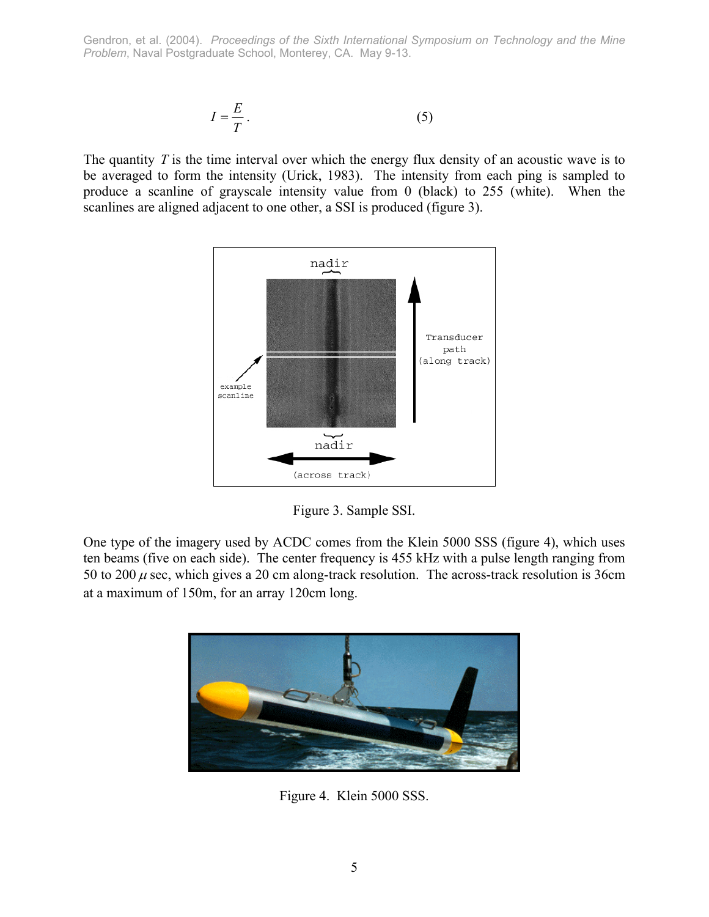$$
I = \frac{E}{T} \,. \tag{5}
$$

The quantity *T* is the time interval over which the energy flux density of an acoustic wave is to be averaged to form the intensity (Urick, 1983). The intensity from each ping is sampled to produce a scanline of grayscale intensity value from 0 (black) to 255 (white). When the scanlines are aligned adjacent to one other, a SSI is produced (figure 3).



Figure 3. Sample SSI.

One type of the imagery used by ACDC comes from the Klein 5000 SSS (figure 4), which uses ten beams (five on each side). The center frequency is 455 kHz with a pulse length ranging from 50 to 200  $\mu$  sec, which gives a 20 cm along-track resolution. The across-track resolution is 36cm at a maximum of 150m, for an array 120cm long.



Figure 4. Klein 5000 SSS.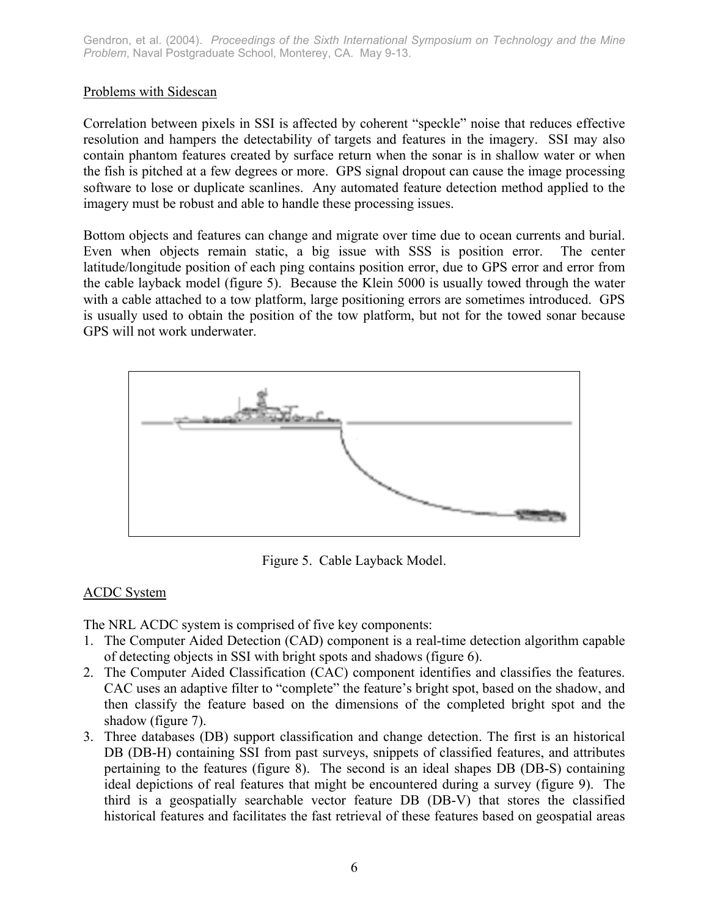## Problems with Sidescan

Correlation between pixels in SSI is affected by coherent "speckle" noise that reduces effective resolution and hampers the detectability of targets and features in the imagery. SSI may also contain phantom features created by surface return when the sonar is in shallow water or when the fish is pitched at a few degrees or more. GPS signal dropout can cause the image processing software to lose or duplicate scanlines. Any automated feature detection method applied to the imagery must be robust and able to handle these processing issues.

Bottom objects and features can change and migrate over time due to ocean currents and burial. Even when objects remain static, a big issue with SSS is position error. The center latitude/longitude position of each ping contains position error, due to GPS error and error from the cable layback model (figure 5). Because the Klein 5000 is usually towed through the water with a cable attached to a tow platform, large positioning errors are sometimes introduced. GPS is usually used to obtain the position of the tow platform, but not for the towed sonar because GPS will not work underwater.



Figure 5. Cable Layback Model.

# ACDC System

The NRL ACDC system is comprised of five key components:

- 1. The Computer Aided Detection (CAD) component is a real-time detection algorithm capable of detecting objects in SSI with bright spots and shadows (figure 6).
- 2. The Computer Aided Classification (CAC) component identifies and classifies the features. CAC uses an adaptive filter to "complete" the feature's bright spot, based on the shadow, and then classify the feature based on the dimensions of the completed bright spot and the shadow (figure 7).
- 3. Three databases (DB) support classification and change detection. The first is an historical DB (DB-H) containing SSI from past surveys, snippets of classified features, and attributes pertaining to the features (figure 8). The second is an ideal shapes DB (DB-S) containing ideal depictions of real features that might be encountered during a survey (figure 9). The third is a geospatially searchable vector feature DB (DB-V) that stores the classified historical features and facilitates the fast retrieval of these features based on geospatial areas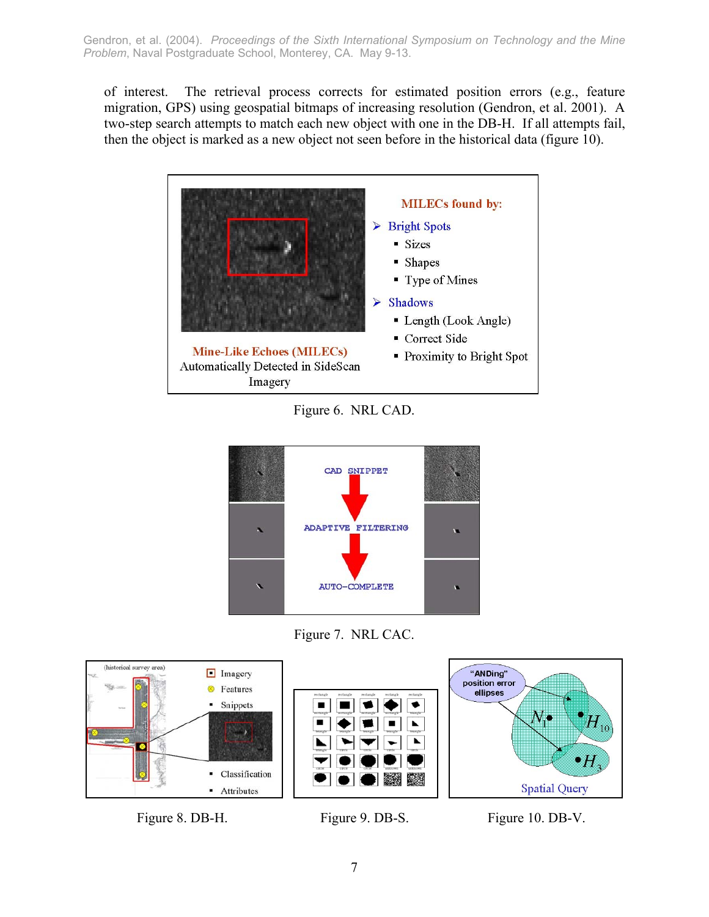of interest. The retrieval process corrects for estimated position errors (e.g., feature migration, GPS) using geospatial bitmaps of increasing resolution (Gendron, et al. 2001). A two-step search attempts to match each new object with one in the DB-H. If all attempts fail, then the object is marked as a new object not seen before in the historical data (figure 10).



Figure 6. NRL CAD.



Figure 7. NRL CAC.



Figure 8. DB-H. Figure 9. DB-S. Figure 10. DB-V.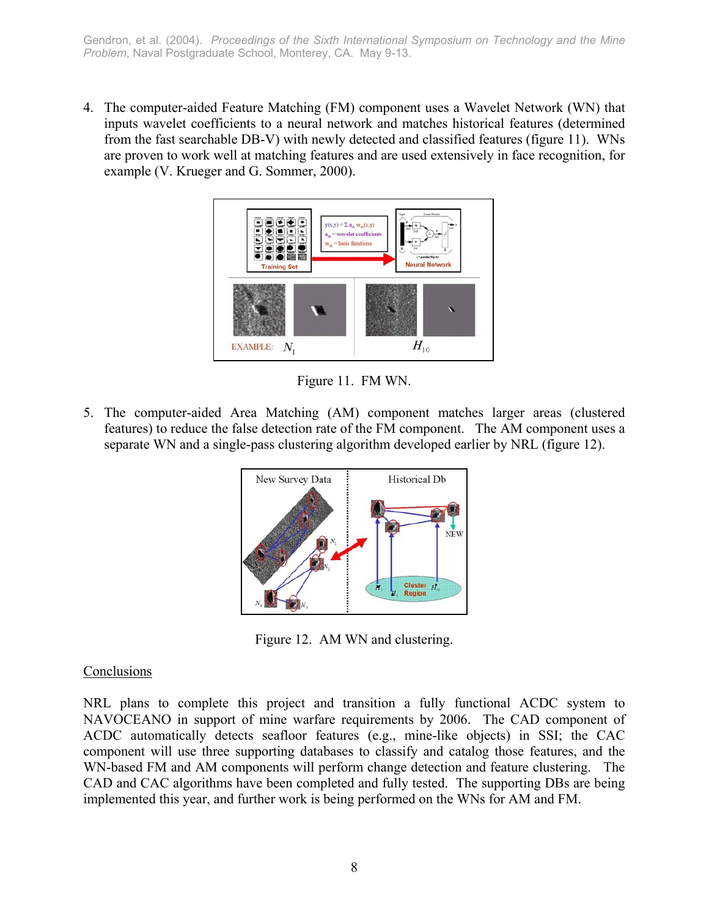4. The computer-aided Feature Matching (FM) component uses a Wavelet Network (WN) that inputs wavelet coefficients to a neural network and matches historical features (determined from the fast searchable DB-V) with newly detected and classified features (figure 11). WNs are proven to work well at matching features and are used extensively in face recognition, for example (V. Krueger and G. Sommer, 2000).



Figure 11. FM WN.

5. The computer-aided Area Matching (AM) component matches larger areas (clustered features) to reduce the false detection rate of the FM component. The AM component uses a separate WN and a single-pass clustering algorithm developed earlier by NRL (figure 12).



Figure 12. AM WN and clustering.

## Conclusions

NRL plans to complete this project and transition a fully functional ACDC system to NAVOCEANO in support of mine warfare requirements by 2006. The CAD component of ACDC automatically detects seafloor features (e.g., mine-like objects) in SSI; the CAC component will use three supporting databases to classify and catalog those features, and the WN-based FM and AM components will perform change detection and feature clustering. The CAD and CAC algorithms have been completed and fully tested. The supporting DBs are being implemented this year, and further work is being performed on the WNs for AM and FM.